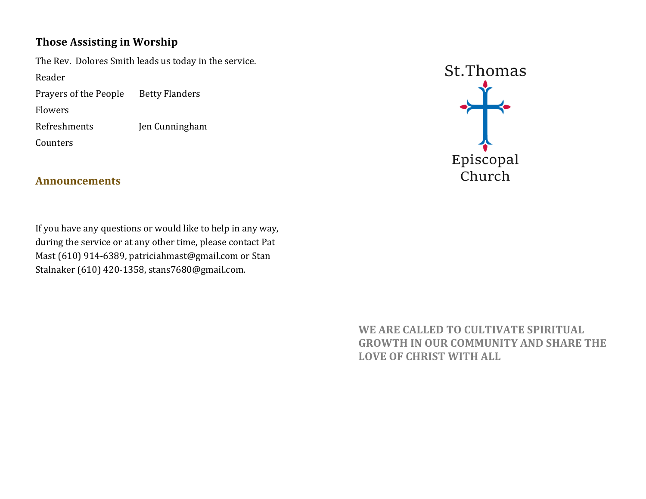## **Those Assisting in Worship**

The Rev. Dolores Smith leads us today in the service. Reader 

Prayers of the People Betty Flanders

Flowers 

Refreshments *Ien Cunningham* 

Counters 

**Announcements**

If you have any questions or would like to help in any way, during the service or at any other time, please contact Pat Mast (610) 914-6389, patriciahmast@gmail.com or Stan Stalnaker (610) 420-1358, stans7680@gmail.com.

St.Thomas  $\frac{1}{\sqrt{2}}$  $Epsilon$ Church

WE ARE CALLED TO CULTIVATE SPIRITUAL **GROWTH IN OUR COMMUNITY AND SHARE THE LOVE OF CHRIST WITH ALL**